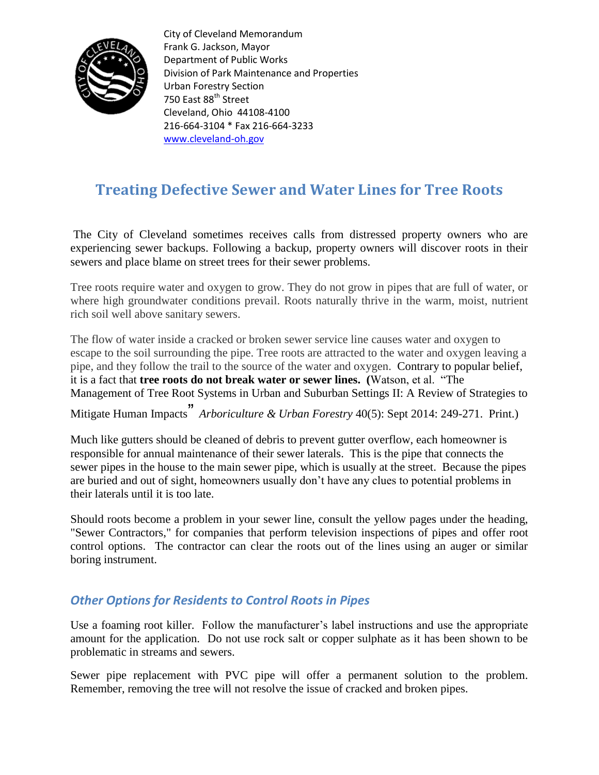

City of Cleveland Memorandum Frank G. Jackson, Mayor Department of Public Works Division of Park Maintenance and Properties Urban Forestry Section 750 East 88<sup>th</sup> Street Cleveland, Ohio 44108-4100 216-664-3104 \* Fax 216-664-3233 [www.cleveland-oh.gov](http://www.cleveland-oh.gov/)

## **Treating Defective Sewer and Water Lines for Tree Roots**

The City of Cleveland sometimes receives calls from distressed property owners who are experiencing sewer backups. Following a backup, property owners will discover roots in their sewers and place blame on street trees for their sewer problems.

Tree roots require water and oxygen to grow. They do not grow in pipes that are full of water, or where high groundwater conditions prevail. Roots naturally thrive in the warm, moist, nutrient rich soil well above sanitary sewers.

The flow of water inside a cracked or broken sewer service line causes water and oxygen to escape to the soil surrounding the pipe. Tree roots are attracted to the water and oxygen leaving a pipe, and they follow the trail to the source of the water and oxygen. Contrary to popular belief, it is a fact that **tree roots do not break water or sewer lines. (**Watson, et al. "The Management of Tree Root Systems in Urban and Suburban Settings II: A Review of Strategies to

Mitigate Human Impacts" *Arboriculture & Urban Forestry* 40(5): Sept 2014: 249-271. Print.)

Much like gutters should be cleaned of debris to prevent gutter overflow, each homeowner is responsible for annual maintenance of their sewer laterals. This is the pipe that connects the sewer pipes in the house to the main sewer pipe, which is usually at the street. Because the pipes are buried and out of sight, homeowners usually don't have any clues to potential problems in their laterals until it is too late.

Should roots become a problem in your sewer line, consult the yellow pages under the heading, "Sewer Contractors," for companies that perform television inspections of pipes and offer root control options. The contractor can clear the roots out of the lines using an auger or similar boring instrument.

## *Other Options for Residents to Control Roots in Pipes*

Use a foaming root killer. Follow the manufacturer's label instructions and use the appropriate amount for the application. Do not use rock salt or copper sulphate as it has been shown to be problematic in streams and sewers.

Sewer pipe replacement with PVC pipe will offer a permanent solution to the problem. Remember, removing the tree will not resolve the issue of cracked and broken pipes.